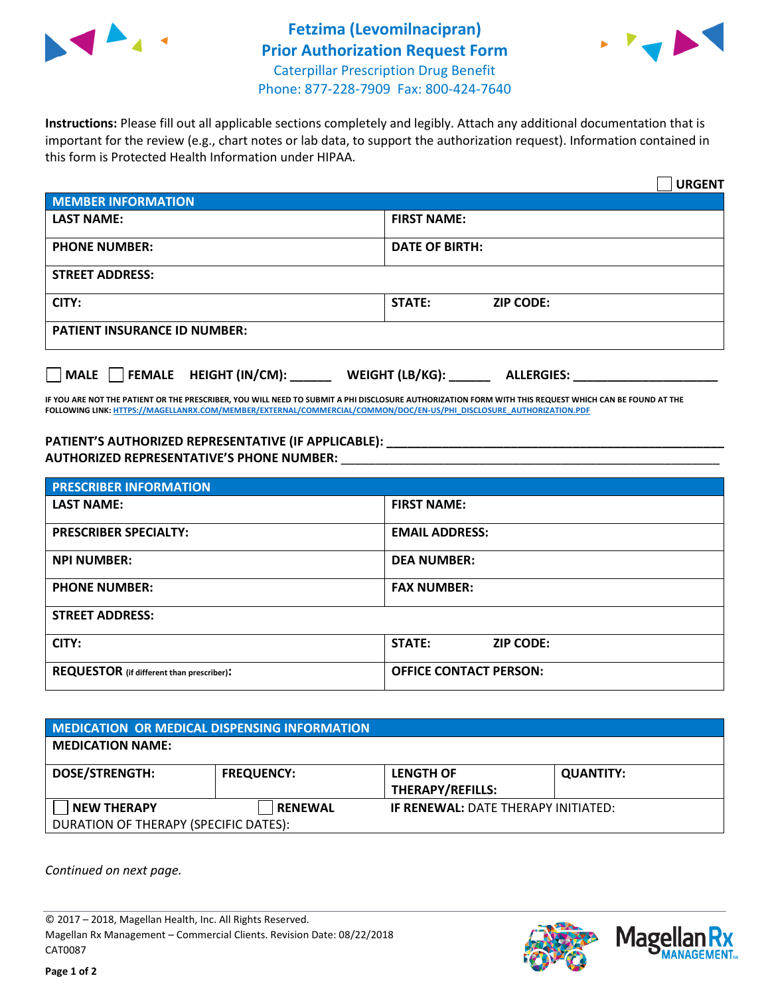



**Instructions:** Please fill out all applicable sections completely and legibly. Attach any additional documentation that is important for the review (e.g., chart notes or lab data, to support the authorization request). Information contained in this form is Protected Health Information under HIPAA.

|                                       | <b>URGENT</b>                        |  |  |  |
|---------------------------------------|--------------------------------------|--|--|--|
| <b>MEMBER INFORMATION</b>             |                                      |  |  |  |
| <b>LAST NAME:</b>                     | <b>FIRST NAME:</b>                   |  |  |  |
| <b>PHONE NUMBER:</b>                  | <b>DATE OF BIRTH:</b>                |  |  |  |
| <b>STREET ADDRESS:</b>                |                                      |  |  |  |
| CITY:                                 | STATE:<br><b>ZIP CODE:</b>           |  |  |  |
| <b>PATIENT INSURANCE ID NUMBER:</b>   |                                      |  |  |  |
| FEMALE HEIGHT (IN/CM):<br><b>MALE</b> | WEIGHT (LB/KG):<br><b>ALLERGIES:</b> |  |  |  |

**IF YOU ARE NOT THE PATIENT OR THE PRESCRIBER, YOU WILL NEED TO SUBMIT A PHI DISCLOSURE AUTHORIZATION FORM WITH THIS REQUEST WHICH CAN BE FOUND AT THE FOLLOWING LINK[: HTTPS://MAGELLANRX.COM/MEMBER/EXTERNAL/COMMERCIAL/COMMON/DOC/EN-US/PHI\\_DISCLOSURE\\_AUTHORIZATION.PDF](https://magellanrx.com/member/external/commercial/common/doc/en-us/PHI_Disclosure_Authorization.pdf)**

**PATIENT'S AUTHORIZED REPRESENTATIVE (IF APPLICABLE): \_\_\_\_\_\_\_\_\_\_\_\_\_\_\_\_\_\_\_\_\_\_\_\_\_\_\_\_\_\_\_\_\_\_\_\_\_\_\_\_\_\_\_\_\_\_\_\_\_ AUTHORIZED REPRESENTATIVE'S PHONE NUMBER:** \_\_\_\_\_\_\_\_\_\_\_\_\_\_\_\_\_\_\_\_\_\_\_\_\_\_\_\_\_\_\_\_\_\_\_\_\_\_\_\_\_\_\_\_\_\_\_\_\_\_\_\_\_\_\_

| <b>PRESCRIBER INFORMATION</b>             |                               |  |  |  |
|-------------------------------------------|-------------------------------|--|--|--|
| <b>LAST NAME:</b>                         | <b>FIRST NAME:</b>            |  |  |  |
| <b>PRESCRIBER SPECIALTY:</b>              | <b>EMAIL ADDRESS:</b>         |  |  |  |
| <b>NPI NUMBER:</b>                        | <b>DEA NUMBER:</b>            |  |  |  |
| <b>PHONE NUMBER:</b>                      | <b>FAX NUMBER:</b>            |  |  |  |
| <b>STREET ADDRESS:</b>                    |                               |  |  |  |
| CITY:                                     | STATE:<br><b>ZIP CODE:</b>    |  |  |  |
| REQUESTOR (if different than prescriber): | <b>OFFICE CONTACT PERSON:</b> |  |  |  |

| <b>MEDICATION OR MEDICAL DISPENSING INFORMATION</b> |                   |                                            |                  |  |  |
|-----------------------------------------------------|-------------------|--------------------------------------------|------------------|--|--|
| <b>MEDICATION NAME:</b>                             |                   |                                            |                  |  |  |
| <b>DOSE/STRENGTH:</b>                               | <b>FREQUENCY:</b> | <b>LENGTH OF</b>                           | <b>QUANTITY:</b> |  |  |
|                                                     |                   | <b>THERAPY/REFILLS:</b>                    |                  |  |  |
| <b>NEW THERAPY</b>                                  | <b>RENEWAL</b>    | <b>IF RENEWAL: DATE THERAPY INITIATED:</b> |                  |  |  |
| DURATION OF THERAPY (SPECIFIC DATES):               |                   |                                            |                  |  |  |

*Continued on next page.*

© 2017 – 2018, Magellan Health, Inc. All Rights Reserved. Magellan Rx Management – Commercial Clients. Revision Date: 08/22/2018 CAT0087